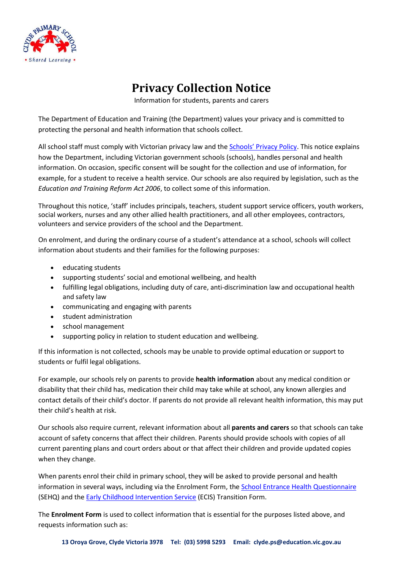

## **Privacy Collection Notice**

Information for students, parents and carers

The Department of Education and Training (the Department) values your privacy and is committed to protecting the personal and health information that schools collect.

All school staff must comply with Victorian privacy law and the [Schools' Privacy Policy](https://www.education.vic.gov.au/Pages/schoolsprivacypolicy.aspx). This notice explains how the Department, including Victorian government schools (schools), handles personal and health information. On occasion, specific consent will be sought for the collection and use of information, for example, for a student to receive a health service. Our schools are also required by legislation, such as the *Education and Training Reform Act 2006*, to collect some of this information.

Throughout this notice, 'staff' includes principals, teachers, student support service officers, youth workers, social workers, nurses and any other allied health practitioners, and all other employees, contractors, volunteers and service providers of the school and the Department.

On enrolment, and during the ordinary course of a student's attendance at a school, schools will collect information about students and their families for the following purposes:

- educating students
- supporting students' social and emotional wellbeing, and health
- fulfilling legal obligations, including duty of care, anti-discrimination law and occupational health and safety law
- communicating and engaging with parents
- student administration
- school management
- supporting policy in relation to student education and wellbeing.

If this information is not collected, schools may be unable to provide optimal education or support to students or fulfil legal obligations.

For example, our schools rely on parents to provide **health information** about any medical condition or disability that their child has, medication their child may take while at school, any known allergies and contact details of their child's doctor. If parents do not provide all relevant health information, this may put their child's health at risk.

Our schools also require current, relevant information about all **parents and carers** so that schools can take account of safety concerns that affect their children. Parents should provide schools with copies of all current parenting plans and court orders about or that affect their children and provide updated copies when they change.

When parents enrol their child in primary school, they will be asked to provide personal and health information in several ways, including via the Enrolment Form, th[e School Entrance Health Questionnaire](https://www.education.vic.gov.au/about/research/Pages/reportdatahealth.aspx) (SEHQ) and the [Early Childhood Intervention Service](https://www.education.vic.gov.au/childhood/professionals/needs/Pages/ecisabout.aspx) (ECIS) Transition Form.

The **Enrolment Form** is used to collect information that is essential for the purposes listed above, and requests information such as: